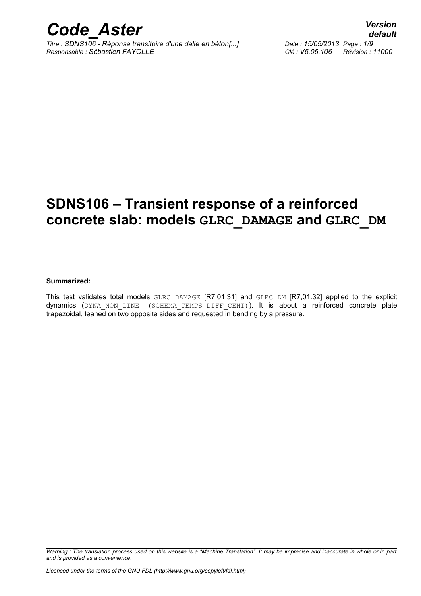

*Titre : SDNS106 - Réponse transitoire d'une dalle en béton[...] Date : 15/05/2013 Page : 1/9 Responsable : Sébastien FAYOLLE Clé : V5.06.106 Révision : 11000*

## **SDNS106 – Transient response of a reinforced concrete slab: models GLRC\_DAMAGE and GLRC\_DM**

#### **Summarized:**

This test validates total models GLRC DAMAGE [R7.01.31] and GLRC DM [R7,01.32] applied to the explicit dynamics (DYNA NON LINE (SCHEMA TEMPS=DIFF CENT)). It is about a reinforced concrete plate trapezoidal, leaned on two opposite sides and requested in bending by a pressure.

*Warning : The translation process used on this website is a "Machine Translation". It may be imprecise and inaccurate in whole or in part and is provided as a convenience.*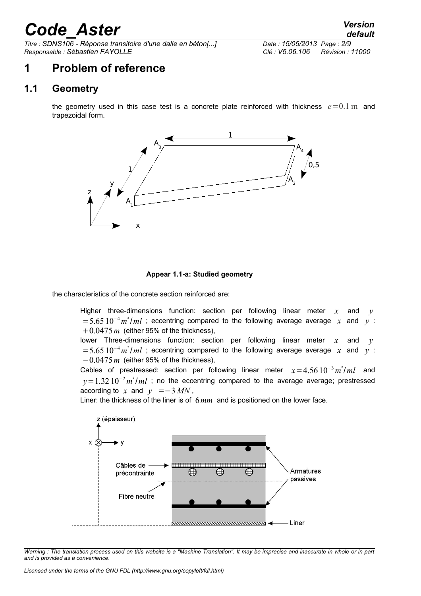*Titre : SDNS106 - Réponse transitoire d'une dalle en béton[...] Date : 15/05/2013 Page : 2/9 Responsable : Sébastien FAYOLLE Clé : V5.06.106 Révision : 11000*

## **1 Problem of reference**

### **1.1 Geometry**

the geometry used in this case test is a concrete plate reinforced with thickness  $e=0.1$  m and trapezoidal form.



#### **Appear 1.1-a: Studied geometry**

the characteristics of the concrete section reinforced are:

Higher three-dimensions function: section per following linear meter  $x$  and  $y$  $=5.65 10^{-4} m^2 / ml$  ; eccentring compared to the following average average *x* and *y* :  $+0.0475$  *m* (either 95% of the thickness),

lower Three-dimensions function: section per following linear meter *x* and *y*  $=5.65 10^{-4} m^2 / ml$  ; eccentring compared to the following average average *x* and *y* : −0.0475*m* (either 95% of the thickness),

Cables of prestressed: section per following linear meter *x*=4.56 10<sup>−</sup><sup>3</sup>*m* ² /*ml* and *y*=1.32 10<sup>-2</sup> *m*<sup>2</sup>/*ml* ; no the eccentring compared to the average average; prestressed according to *x* and  $y = -3$  *MN*,

Liner: the thickness of the liner is of 6*mm* and is positioned on the lower face.

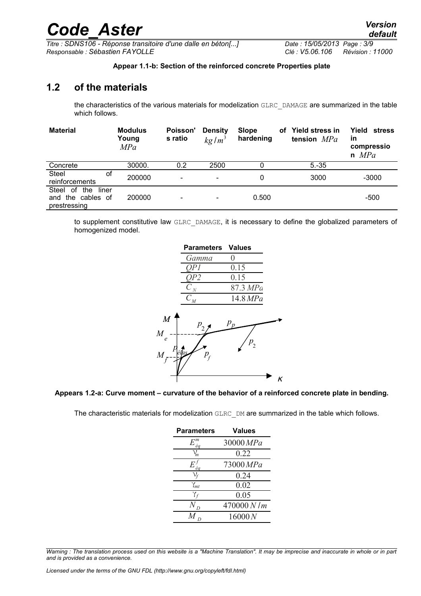$\overline{T}$ itre : **SDNS106 - Réponse transitoire d'une dalle en béton[...]** *Responsable : Sébastien FAYOLLE Clé : V5.06.106 Révision : 11000*

*default*

#### **Appear 1.1-b: Section of the reinforced concrete Properties plate**

#### **1.2 of the materials**

the characteristics of the various materials for modelization GLRC\_DAMAGE are summarized in the table which follows.

| <b>Material</b>                                                  | <b>Modulus</b><br>Young<br>MPa | Poisson'<br>s ratio          | <b>Density</b><br>kg/m <sup>3</sup> | <b>Slope</b><br>hardening | οf | <b>Yield stress in</b><br>tension $MPa$ | Yield<br>stress<br><b>in</b><br>compressio<br>$n$ MPa |
|------------------------------------------------------------------|--------------------------------|------------------------------|-------------------------------------|---------------------------|----|-----------------------------------------|-------------------------------------------------------|
| Concrete                                                         | 30000.                         | 0.2                          | 2500                                |                           |    | $5.-35$                                 |                                                       |
| <b>Steel</b><br>οf<br>reinforcements                             | 200000                         | $\qquad \qquad \blacksquare$ | $\overline{\phantom{a}}$            | 0                         |    | 3000                                    | $-3000$                                               |
| Steel<br>of<br>the<br>liner<br>and the cables of<br>prestressing | 200000                         |                              | $\overline{\phantom{a}}$            | 0.500                     |    |                                         | -500                                                  |

to supplement constitutive law GLRC\_DAMAGE, it is necessary to define the globalized parameters of homogenized model.

|                                                           | <b>Parameters Values</b>                    |                         |   |
|-----------------------------------------------------------|---------------------------------------------|-------------------------|---|
|                                                           | Gamma                                       |                         |   |
|                                                           |                                             | 0.15                    |   |
|                                                           | Ρ2                                          | 0.15                    |   |
|                                                           | $C_{\underline{N}}$                         | 87.3 MPa                |   |
|                                                           | $\bar{C}_{\underline{M}}$                   | 14.8 MPa                |   |
| $\boldsymbol{M}$<br>$\overline{M}$<br>e<br>$\overline{M}$ | $P_2^{\phantom{\dagger}}$<br>éilas<br>$P_f$ | $p_p$<br>P <sub>2</sub> |   |
|                                                           |                                             |                         | ĸ |

#### **Appears 1.2-a: Curve moment – curvature of the behavior of a reinforced concrete plate in bending.**

The characteristic materials for modelization GLRC DM are summarized in the table which follows.

| <b>Parameters</b>         | <b>Values</b> |
|---------------------------|---------------|
| $E_{\mathit{eq}}$         | 30000 MPa     |
| $V_m$                     | 0.22          |
| $E_{\acute{e}g}^{\prime}$ | 73000 MPa     |
|                           | 0.24          |
| $\gamma_{mt}$             | 0.02          |
| $\gamma_{f}$              | 0.05          |
|                           | 470000 N/m    |
|                           | 16000 N       |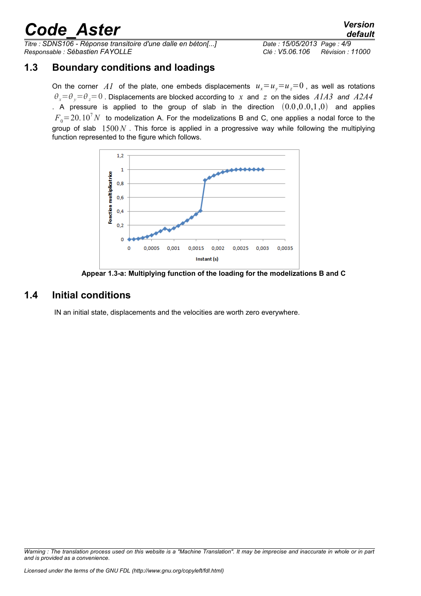*Titre : SDNS106 - Réponse transitoire d'une dalle en béton[...] Date : 15/05/2013 Page : 4/9 Responsable : Sébastien FAYOLLE Clé : V5.06.106 Révision : 11000*

### **1.3 Boundary conditions and loadings**

On the corner *A1* of the plate, one embeds displacements  $u_x = u_y = u_z = 0$ , as well as rotations  $\theta_x = \theta_y = 0$ . Displacements are blocked according to *x* and *z* on the sides *A1A3* and *A2A4* . A pressure is applied to the group of slab in the direction  $(0.0,0.0,1,0)$  and applies  $F<sub>0</sub>=20.10<sup>7</sup> N$  to modelization A. For the modelizations B and C, one applies a nodal force to the group of slab 1500*N* . This force is applied in a progressive way while following the multiplying function represented to the figure which follows.



**Appear 1.3-a: Multiplying function of the loading for the modelizations B and C**

### **1.4 Initial conditions**

IN an initial state, displacements and the velocities are worth zero everywhere.

*Warning : The translation process used on this website is a "Machine Translation". It may be imprecise and inaccurate in whole or in part and is provided as a convenience.*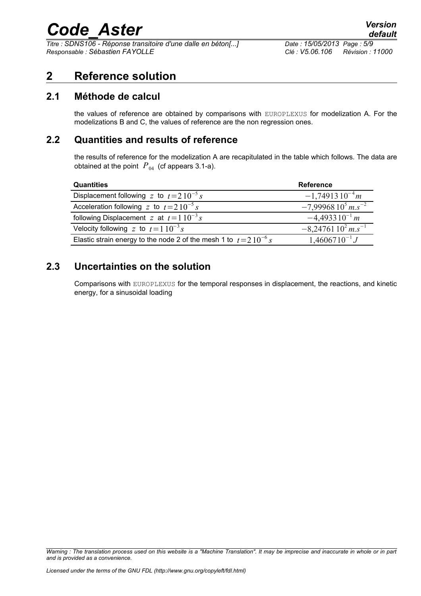*Titre : SDNS106 - Réponse transitoire d'une dalle en béton[...] Date : 15/05/2013 Page : 5/9 Responsable : Sébastien FAYOLLE Clé : V5.06.106 Révision : 11000*

## **2 Reference solution**

#### **2.1 Méthode de calcul**

the values of reference are obtained by comparisons with EUROPLEXUS for modelization A. For the modelizations B and C, the values of reference are the non regression ones.

### **2.2 Quantities and results of reference**

the results of reference for the modelization A are recapitulated in the table which follows. The data are obtained at the point  $P_{04}$  (cf appears 3.1-a).

| <b>Quantities</b>                                                     | <b>Reference</b>                   |
|-----------------------------------------------------------------------|------------------------------------|
| Displacement following z to $t=210^{-5}$ s                            | $-1,7491310^{-4}m$                 |
| Acceleration following z to $t=2.10^{-5}$ s                           | $-7,9996810^{5}$ m.s <sup>-2</sup> |
| following Displacement z at $t=1.10^{-3} s$                           | $-4,493310^{-1}m$                  |
| Velocity following z to $t=110^{-3} s$                                | $-8,2476110^{2}$ m.s <sup>-1</sup> |
| Elastic strain energy to the node 2 of the mesh 1 to $t = 210^{-6} s$ | $1,4606710^{-1}J$                  |

## **2.3 Uncertainties on the solution**

Comparisons with EUROPLEXUS for the temporal responses in displacement, the reactions, and kinetic energy, for a sinusoidal loading

*Warning : The translation process used on this website is a "Machine Translation". It may be imprecise and inaccurate in whole or in part and is provided as a convenience.*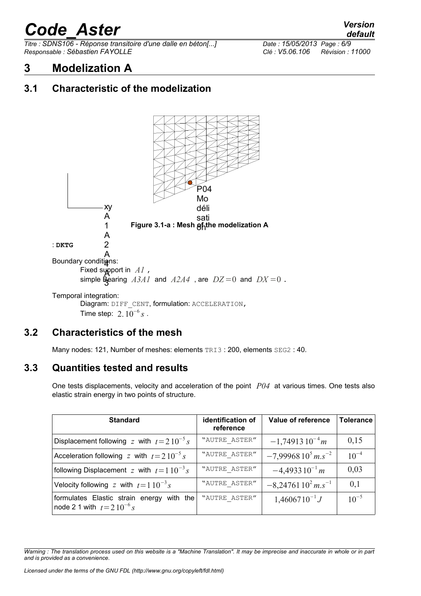*Titre : SDNS106 - Réponse transitoire d'une dalle en béton[...] Date : 15/05/2013 Page : 6/9 Responsable : Sébastien FAYOLLE Clé : V5.06.106 Révision : 11000*

## **3 Modelization A**

## **3.1 Characteristic of the modelization**



## **3.2 Characteristics of the mesh**

Many nodes: 121, Number of meshes: elements TRI3: 200, elements SEG2: 40.

## **3.3 Quantities tested and results**

One tests displacements, velocity and acceleration of the point *P04* at various times. One tests also elastic strain energy in two points of structure.

| <b>Standard</b>                                                                 | identification of<br>reference | Value of reference                 | Tolerance |
|---------------------------------------------------------------------------------|--------------------------------|------------------------------------|-----------|
| Displacement following z with $t=210^{-5} s$                                    | "AUTRE ASTER"                  | $-1,7491310^{-4}m$                 | 0,15      |
| Acceleration following z with $t=210^{-5} s$                                    | "AUTRE ASTER"                  | $-7,9996810^{5}$ m.s <sup>-2</sup> | $10^{-4}$ |
| following Displacement z with $t=110^{-3} s$                                    | "AUTRE ASTER"                  | $-4,493310^{-1} m$                 | 0,03      |
| Velocity following z with $t=1.10^{-3} s$                                       | "AUTRE ASTER"                  | $-8,2476110^{2}$ m.s <sup>-1</sup> | 0,1       |
| formulates Elastic strain energy<br>with the<br>node 2.1 with $t = 2.10^{-6} s$ | "AUTRE ASTER"                  | $1,4606710^{-1}J$                  | $10^{-5}$ |

*Warning : The translation process used on this website is a "Machine Translation". It may be imprecise and inaccurate in whole or in part and is provided as a convenience.*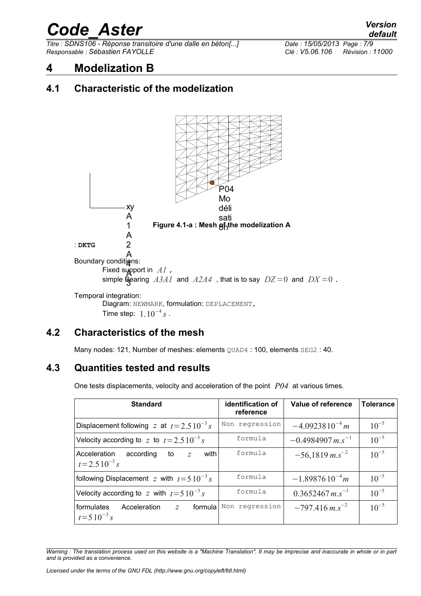$\overline{T}$ itre : *SDNS106 - Réponse transitoire d'une dalle en béton[...] Responsable : Sébastien FAYOLLE Clé : V5.06.106 Révision : 11000*

*default*<br>*Date : 15/05/2013 Page : 7/9* 

## **4 Modelization B**

## **4.1 Characteristic of the modelization**



## **4.2 Characteristics of the mesh**

Many nodes: 121, Number of meshes: elements QUAD4 : 100, elements SEG2 : 40.

## **4.3 Quantities tested and results**

One tests displacements, velocity and acceleration of the point *P04* at various times.

| <b>Standard</b>                                                                 | identification of<br>reference | Value of reference             | <b>Tolerance</b> |
|---------------------------------------------------------------------------------|--------------------------------|--------------------------------|------------------|
| Displacement following z at $t = 2.510^{-3} s$                                  | Non regression                 | $-4.0923810^{-4} m$            | $10^{-5}$        |
| Velocity according to z to $t = 2.5 10^{-3} s$                                  | formula                        | $-0.4984907$ m.s <sup>-1</sup> | $10^{-5}$        |
| with<br>Acceleration<br>according<br>to<br>$\overline{z}$<br>$t = 2.510^{-3} s$ | formula                        | $-56,1819$ m.s <sup>-2</sup>   | $10^{-5}$        |
| following Displacement z with $t=510^{-3} s$                                    | formula                        | $-1.8987610^{-4}m$             | $10^{-5}$        |
| Velocity according to z with $t=5.10^{-3}$ s                                    | formula                        | $0.3652467 m.s^{-1}$           | $10^{-5}$        |
| formula<br>formulates<br>Acceleration<br>$\overline{z}$<br>$t = 510^{-3} s$     | Non regression                 | $-797.416$ m.s <sup>-2</sup>   | $10^{-5}$        |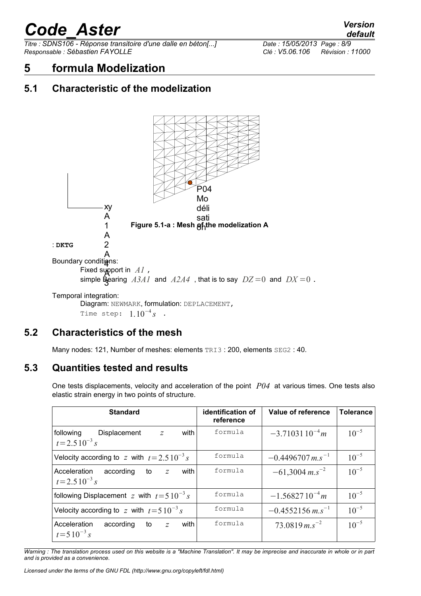*Titre : SDNS106 - Réponse transitoire d'une dalle en béton[...] Date : 15/05/2013 Page : 8/9 Responsable : Sébastien FAYOLLE Clé : V5.06.106 Révision : 11000*

## **5 formula Modelization**

## **5.1 Characteristic of the modelization**



## **5.2 Characteristics of the mesh**

Many nodes: 121, Number of meshes: elements TRI3: 200, elements SEG2: 40.

### **5.3 Quantities tested and results**

One tests displacements, velocity and acceleration of the point *P04* at various times. One tests also elastic strain energy in two points of structure.

| <b>Standard</b>                                                               | identification of<br>reference | Value of reference             | <b>Tolerance</b> |
|-------------------------------------------------------------------------------|--------------------------------|--------------------------------|------------------|
| following<br>with<br>Displacement<br>$\mathcal{Z}$<br>$t = 2.510^{-3} s$      | formula                        | $-3.7103110^{-4}m$             | $10^{-5}$        |
| Velocity according to z with $t = 2.5 10^{-3} s$                              | formula                        | $-0.4496707$ m.s <sup>-1</sup> | $10^{-5}$        |
| with<br>Acceleration<br>according<br>to<br>Z<br>$t = 2.510^{-3} s$            | formula                        | $-61,3004$ m.s <sup>-2</sup>   | $10^{-5}$        |
| following Displacement z with $t=510^{-3} s$                                  | formula                        | $-1.5682710^{-4}m$             | $10^{-5}$        |
| Velocity according to z with $t=510^{-3}$ s                                   | formula                        | $-0.4552156$ m.s <sup>-1</sup> | $10^{-5}$        |
| according<br>with<br>Acceleration<br>to<br>$\overline{z}$<br>$t = 510^{-3} s$ | formula                        | $73.0819$ m.s <sup>-2</sup>    | $10^{-5}$        |